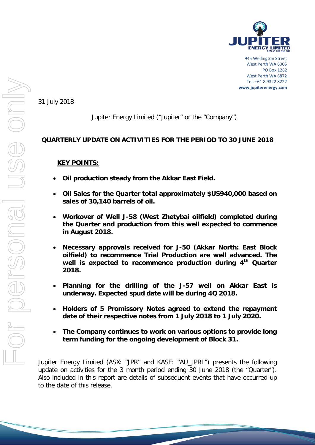

945 Wellington Street West Perth WA 6005 PO Box 1282 West Perth WA 6872 Tel: +61 8 9322 8222 **www.jupiterenergy.com**

31 July 2018

# Jupiter Energy Limited ("Jupiter" or the "Company")

## **QUARTERLY UPDATE ON ACTIVITIES FOR THE PERIOD TO 30 JUNE 2018**

## **KEY POINTS:**

- **Oil production steady from the Akkar East Field.**
- **Oil Sales for the Quarter total approximately \$US940,000 based on sales of 30,140 barrels of oil.**
- **Workover of Well J-58 (West Zhetybai oilfield) completed during the Quarter and production from this well expected to commence in August 2018.**
- **Necessary approvals received for J-50 (Akkar North: East Block oilfield) to recommence Trial Production are well advanced. The well is expected to recommence production during 4th Quarter 2018.**
- **Planning for the drilling of the J-57 well on Akkar East is underway. Expected spud date will be during 4Q 2018.**
- **Holders of 5 Promissory Notes agreed to extend the repayment date of their respective notes from 1 July 2018 to 1 July 2020.**
- **The Company continues to work on various options to provide long term funding for the ongoing development of Block 31.**

Jupiter Energy Limited (ASX: "JPR" and KASE: "AU\_JPRL") presents the following update on activities for the 3 month period ending 30 June 2018 (the "Quarter"). Also included in this report are details of subsequent events that have occurred up to the date of this release.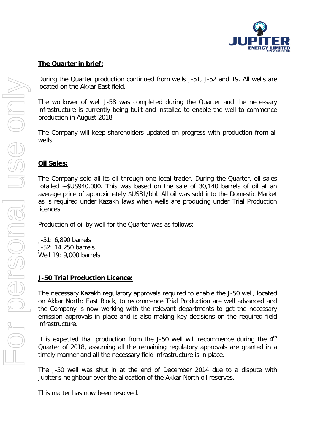

## **The Quarter in brief:**

During the Quarter production continued from wells J-51, J-52 and 19. All wells are located on the Akkar East field.

The workover of well J-58 was completed during the Quarter and the necessary infrastructure is currently being built and installed to enable the well to commence production in August 2018.

The Company will keep shareholders updated on progress with production from all wells.

#### **Oil Sales:**

The Company sold all its oil through one local trader. During the Quarter, oil sales totalled ~\$US940,000. This was based on the sale of 30,140 barrels of oil at an average price of approximately \$US31/bbl. All oil was sold into the Domestic Market as is required under Kazakh laws when wells are producing under Trial Production licences.

Production of oil by well for the Quarter was as follows:

J-51: 6,890 barrels J-52: 14,250 barrels Well 19: 9,000 barrels

#### **J-50 Trial Production Licence:**

The necessary Kazakh regulatory approvals required to enable the J-50 well, located on Akkar North: East Block, to recommence Trial Production are well advanced and the Company is now working with the relevant departments to get the necessary emission approvals in place and is also making key decisions on the required field infrastructure.

It is expected that production from the J-50 well will recommence during the  $4<sup>th</sup>$ Quarter of 2018, assuming all the remaining regulatory approvals are granted in a timely manner and all the necessary field infrastructure is in place.

The J-50 well was shut in at the end of December 2014 due to a dispute with Jupiter's neighbour over the allocation of the Akkar North oil reserves.

This matter has now been resolved.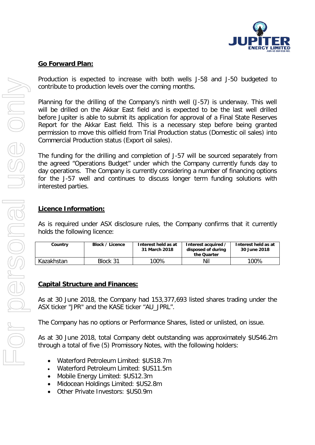

## **Go Forward Plan:**

Production is expected to increase with both wells J-58 and J-50 budgeted to contribute to production levels over the coming months.

Planning for the drilling of the Company's ninth well (J-57) is underway. This well will be drilled on the Akkar East field and is expected to be the last well drilled before Jupiter is able to submit its application for approval of a Final State Reserves Report for the Akkar East field. This is a necessary step before being granted permission to move this oilfield from Trial Production status (Domestic oil sales) into Commercial Production status (Export oil sales).

The funding for the drilling and completion of J-57 will be sourced separately from the agreed "Operations Budget" under which the Company currently funds day to day operations. The Company is currently considering a number of financing options for the J-57 well and continues to discuss longer term funding solutions with interested parties.

#### **Licence Information:**

As is required under ASX disclosure rules, the Company confirms that it currently holds the following licence:

| Country    | Block / Licence | Interest held as at<br>31 March 2018 | Interest acquired /<br>disposed of during<br>the Quarter | Interest held as at<br>30 June 2018 |
|------------|-----------------|--------------------------------------|----------------------------------------------------------|-------------------------------------|
| Kazakhstan | Block 31        | 100%                                 | Nil                                                      | 100%                                |

## **Capital Structure and Finances:**

As at 30 June 2018, the Company had 153,377,693 listed shares trading under the ASX ticker "JPR" and the KASE ticker "AU\_JPRL".

The Company has no options or Performance Shares, listed or unlisted, on issue.

As at 30 June 2018, total Company debt outstanding was approximately \$US46.2m through a total of five (5) Promissory Notes, with the following holders:

- Waterford Petroleum Limited: \$US18.7m
- Waterford Petroleum Limited: \$US11.5m
- Mobile Energy Limited: \$US12.3m
- Midocean Holdings Limited: \$US2.8m
- Other Private Investors: \$US0.9m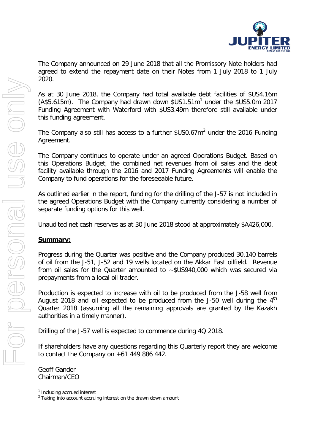

The Company announced on 29 June 2018 that all the Promissory Note holders had agreed to extend the repayment date on their Notes from 1 July 2018 to 1 July 2020.

As at 30 June 2018, the Company had total available debt facilities of \$US4.16m  $(A$5.615m)$  $(A$5.615m)$  $(A$5.615m)$ . The Company had drawn down  $$US1.51m<sup>1</sup>$  under the  $$US5.0m$  2017 Funding Agreement with Waterford with \$US3.49m therefore still available under this funding agreement.

The Company also still has access to a further  $$US0.67m<sup>2</sup>$  $$US0.67m<sup>2</sup>$  $$US0.67m<sup>2</sup>$  under the 2016 Funding Agreement.

The Company continues to operate under an agreed Operations Budget. Based on this Operations Budget, the combined net revenues from oil sales and the debt facility available through the 2016 and 2017 Funding Agreements will enable the Company to fund operations for the foreseeable future.

As outlined earlier in the report, funding for the drilling of the J-57 is not included in the agreed Operations Budget with the Company currently considering a number of separate funding options for this well.

Unaudited net cash reserves as at 30 June 2018 stood at approximately \$A426,000.

#### **Summary:**

Progress during the Quarter was positive and the Company produced 30,140 barrels of oil from the J-51, J-52 and 19 wells located on the Akkar East oilfield. Revenue from oil sales for the Quarter amounted to ~\$US940,000 which was secured via prepayments from a local oil trader.

Production is expected to increase with oil to be produced from the J-58 well from August 2018 and oil expected to be produced from the J-50 well during the  $4<sup>th</sup>$ Quarter 2018 (assuming all the remaining approvals are granted by the Kazakh authorities in a timely manner).

Drilling of the J-57 well is expected to commence during 4Q 2018.

If shareholders have any questions regarding this Quarterly report they are welcome to contact the Company on +61 449 886 442.

Geoff Gander Chairman/CEO

<span id="page-3-1"></span><span id="page-3-0"></span><sup>&</sup>lt;sup>1</sup> Including accrued interest<br><sup>2</sup> Taking into account accruing interest on the drawn down amount